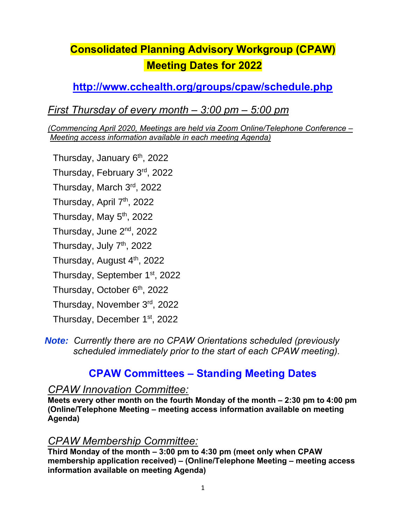# **Consolidated Planning Advisory Workgroup (CPAW) Meeting Dates for 2022**

## **<http://www.cchealth.org/groups/cpaw/schedule.php>**

## *First Thursday of every month – 3:00 pm – 5:00 pm*

*(Commencing April 2020, Meetings are held via Zoom Online/Telephone Conference – Meeting access information available in each meeting Agenda)*

Thursday, January 6<sup>th</sup>, 2022

Thursday, February 3<sup>rd</sup>, 2022

Thursday, March 3<sup>rd</sup>, 2022

Thursday, April 7<sup>th</sup>, 2022

Thursday, May 5<sup>th</sup>, 2022

Thursday, June 2<sup>nd</sup>, 2022

Thursday, July 7<sup>th</sup>, 2022

Thursday, August 4<sup>th</sup>, 2022

Thursday, September 1<sup>st</sup>, 2022

Thursday, October 6<sup>th</sup>, 2022

Thursday, November 3rd, 2022

Thursday, December 1<sup>st</sup>, 2022

*Note: Currently there are no CPAW Orientations scheduled (previously scheduled immediately prior to the start of each CPAW meeting).* 

# **CPAW Committees – Standing Meeting Dates**

#### *CPAW Innovation Committee:*

**Meets every other month on the fourth Monday of the month – 2:30 pm to 4:00 pm (Online/Telephone Meeting – meeting access information available on meeting Agenda)**

## *CPAW Membership Committee:*

**Third Monday of the month – 3:00 pm to 4:30 pm (meet only when CPAW membership application received) – (Online/Telephone Meeting – meeting access information available on meeting Agenda)**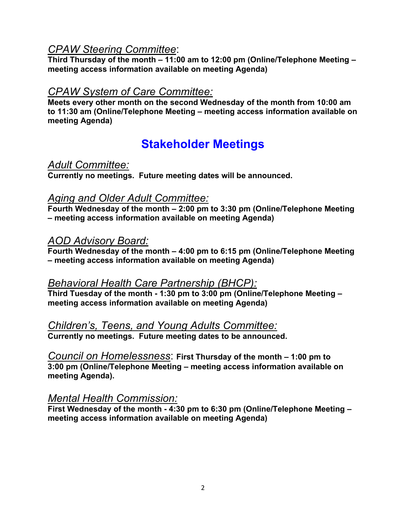### *CPAW Steering Committee*:

**Third Thursday of the month – 11:00 am to 12:00 pm (Online/Telephone Meeting – meeting access information available on meeting Agenda)**

#### *CPAW System of Care Committee:*

**Meets every other month on the second Wednesday of the month from 10:00 am to 11:30 am (Online/Telephone Meeting – meeting access information available on meeting Agenda)**

# **Stakeholder Meetings**

#### *Adult Committee:*

**Currently no meetings. Future meeting dates will be announced.** 

#### *Aging and Older Adult Committee:*

**Fourth Wednesday of the month – 2:00 pm to 3:30 pm (Online/Telephone Meeting – meeting access information available on meeting Agenda)** 

#### *AOD Advisory Board:*

**Fourth Wednesday of the month – 4:00 pm to 6:15 pm (Online/Telephone Meeting – meeting access information available on meeting Agenda)** 

#### *Behavioral Health Care Partnership (BHCP):*

**Third Tuesday of the month - 1:30 pm to 3:00 pm (Online/Telephone Meeting – meeting access information available on meeting Agenda)**

#### *Children's, Teens, and Young Adults Committee:*

**Currently no meetings. Future meeting dates to be announced.** 

*Council on Homelessness*: **First Thursday of the month – 1:00 pm to 3:00 pm (Online/Telephone Meeting – meeting access information available on meeting Agenda).** 

#### *Mental Health Commission:*

**First Wednesday of the month - 4:30 pm to 6:30 pm (Online/Telephone Meeting – meeting access information available on meeting Agenda)**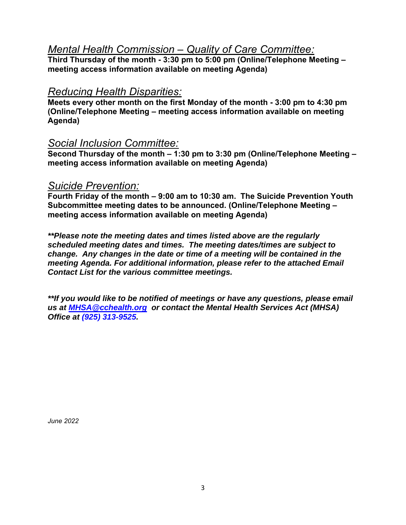#### *Mental Health Commission – Quality of Care Committee:*

**Third Thursday of the month - 3:30 pm to 5:00 pm (Online/Telephone Meeting – meeting access information available on meeting Agenda)**

#### *Reducing Health Disparities:*

**Meets every other month on the first Monday of the month - 3:00 pm to 4:30 pm (Online/Telephone Meeting – meeting access information available on meeting Agenda)**

#### *Social Inclusion Committee:*

**Second Thursday of the month – 1:30 pm to 3:30 pm (Online/Telephone Meeting – meeting access information available on meeting Agenda)**

#### *Suicide Prevention:*

**Fourth Friday of the month – 9:00 am to 10:30 am. The Suicide Prevention Youth Subcommittee meeting dates to be announced. (Online/Telephone Meeting – meeting access information available on meeting Agenda)**

*\*\*Please note the meeting dates and times listed above are the regularly scheduled meeting dates and times. The meeting dates/times are subject to change. Any changes in the date or time of a meeting will be contained in the meeting Agenda. For additional information, please refer to the attached Email Contact List for the various committee meetings.* 

*\*\*If you would like to be notified of meetings or have any questions, please email us at [MHSA@cchealth.org](mailto:MHSA@cchealth.org) or contact the Mental Health Services Act (MHSA) Office at (925) 313-9525.*

*June 2022*